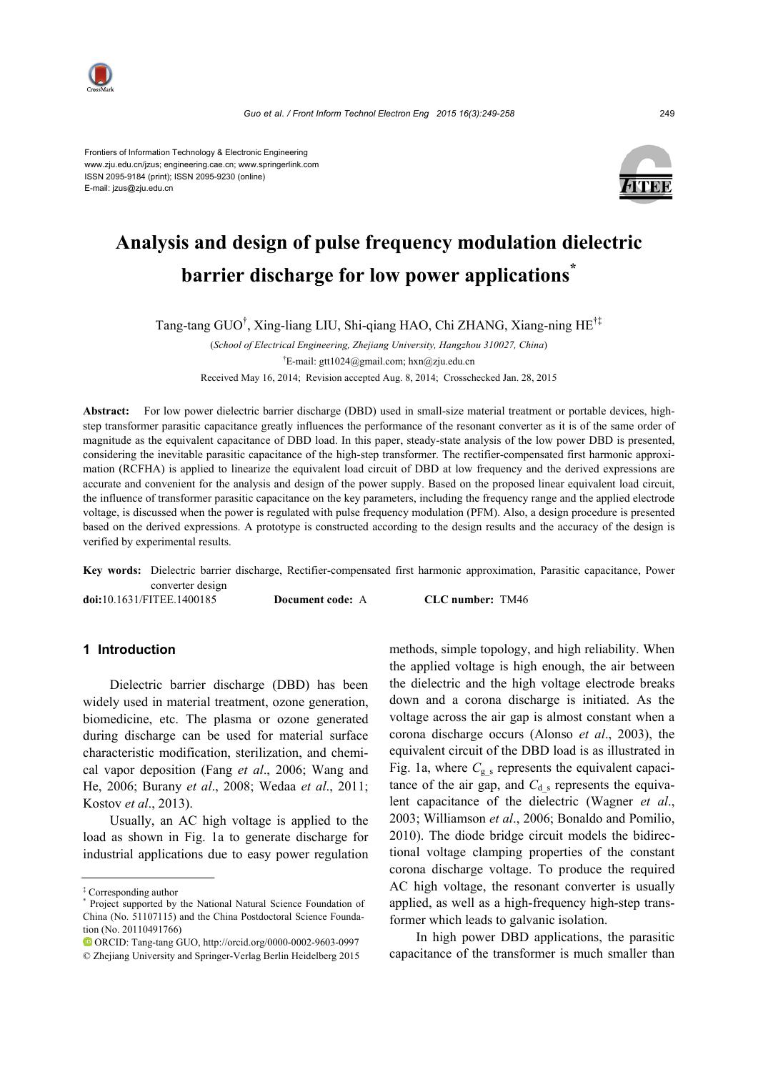

Frontiers of Information Technology & Electronic Engineering www.zju.edu.cn/jzus; engineering.cae.cn; www.springerlink.com ISSN 2095-9184 (print); ISSN 2095-9230 (online) E-mail: jzus@zju.edu.cn



# **Analysis and design of pulse frequency modulation dielectric barrier discharge for low power applications\***

Tang-tang GUO† , Xing-liang LIU, Shi-qiang HAO, Chi ZHANG, Xiang-ning HE†‡

(*School of Electrical Engineering, Zhejiang University, Hangzhou 310027, China*) † E-mail: gtt1024@gmail.com; hxn@zju.edu.cn Received May 16, 2014; Revision accepted Aug. 8, 2014; Crosschecked Jan. 28, 2015

**Abstract:** For low power dielectric barrier discharge (DBD) used in small-size material treatment or portable devices, highstep transformer parasitic capacitance greatly influences the performance of the resonant converter as it is of the same order of magnitude as the equivalent capacitance of DBD load. In this paper, steady-state analysis of the low power DBD is presented, considering the inevitable parasitic capacitance of the high-step transformer. The rectifier-compensated first harmonic approximation (RCFHA) is applied to linearize the equivalent load circuit of DBD at low frequency and the derived expressions are accurate and convenient for the analysis and design of the power supply. Based on the proposed linear equivalent load circuit, the influence of transformer parasitic capacitance on the key parameters, including the frequency range and the applied electrode voltage, is discussed when the power is regulated with pulse frequency modulation (PFM). Also, a design procedure is presented based on the derived expressions. A prototype is constructed according to the design results and the accuracy of the design is verified by experimental results.

**Key words:** Dielectric barrier discharge, Rectifier-compensated first harmonic approximation, Parasitic capacitance, Power converter design **doi:**10.1631/FITEE.1400185 **Document code:** A **CLC number:** TM46

## **1 Introduction**

Dielectric barrier discharge (DBD) has been widely used in material treatment, ozone generation, biomedicine, etc. The plasma or ozone generated during discharge can be used for material surface characteristic modification, sterilization, and chemical vapor deposition (Fang *et al*., 2006; Wang and He, 2006; Burany *et al*., 2008; Wedaa *et al*., 2011; Kostov *et al*., 2013).

Usually, an AC high voltage is applied to the load as shown in Fig. 1a to generate discharge for industrial applications due to easy power regulation methods, simple topology, and high reliability. When the applied voltage is high enough, the air between the dielectric and the high voltage electrode breaks down and a corona discharge is initiated. As the voltage across the air gap is almost constant when a corona discharge occurs (Alonso *et al*., 2003), the equivalent circuit of the DBD load is as illustrated in Fig. 1a, where  $C_{g,s}$  represents the equivalent capacitance of the air gap, and  $C_d$ <sub>s</sub> represents the equivalent capacitance of the dielectric (Wagner *et al*., 2003; Williamson *et al*., 2006; Bonaldo and Pomilio, 2010). The diode bridge circuit models the bidirectional voltage clamping properties of the constant corona discharge voltage. To produce the required AC high voltage, the resonant converter is usually applied, as well as a high-frequency high-step transformer which leads to galvanic isolation.

In high power DBD applications, the parasitic capacitance of the transformer is much smaller than

<sup>‡</sup> Corresponding author

<sup>\*</sup> Project supported by the National Natural Science Foundation of China (No. 51107115) and the China Postdoctoral Science Foundation (No. 20110491766)

ORCID: Tang-tang GUO, http://orcid.org/0000-0002-9603-0997 © Zhejiang University and Springer-Verlag Berlin Heidelberg 2015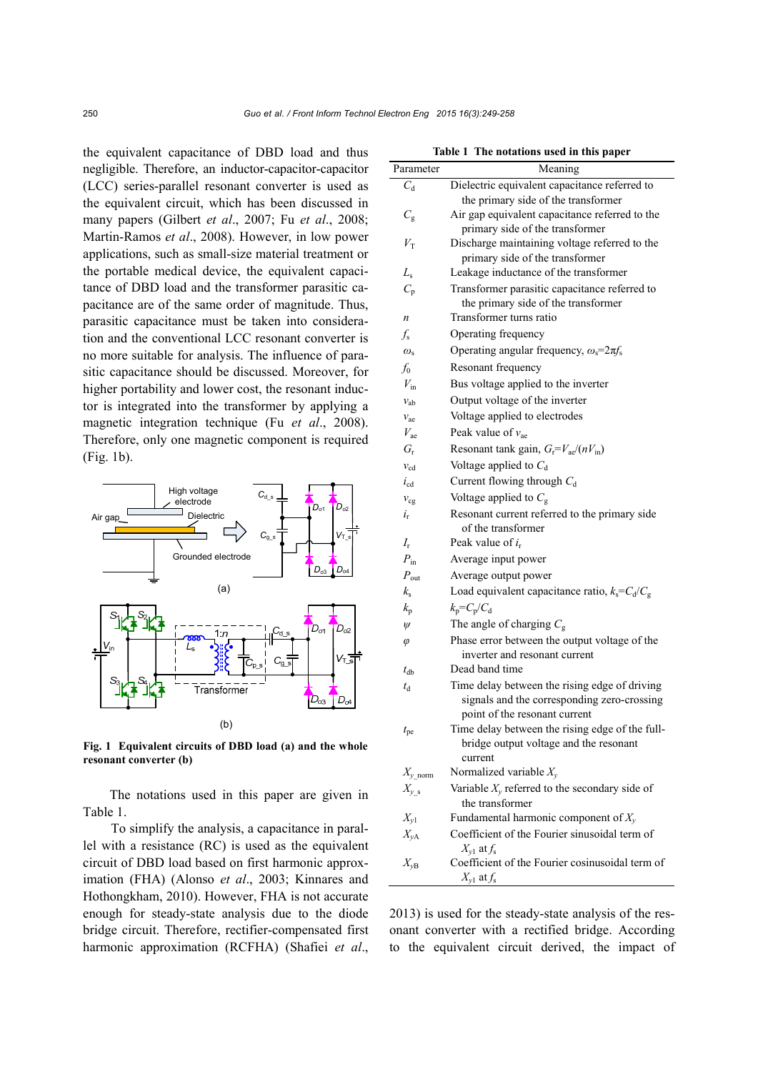the equivalent capacitance of DBD load and thus negligible. Therefore, an inductor-capacitor-capacitor (LCC) series-parallel resonant converter is used as the equivalent circuit, which has been discussed in many papers (Gilbert *et al*., 2007; Fu *et al*., 2008; Martin-Ramos *et al*., 2008). However, in low power applications, such as small-size material treatment or the portable medical device, the equivalent capacitance of DBD load and the transformer parasitic capacitance are of the same order of magnitude. Thus, parasitic capacitance must be taken into consideration and the conventional LCC resonant converter is no more suitable for analysis. The influence of parasitic capacitance should be discussed. Moreover, for higher portability and lower cost, the resonant inductor is integrated into the transformer by applying a magnetic integration technique (Fu *et al*., 2008). Therefore, only one magnetic component is required (Fig. 1b).



**Fig. 1 Equivalent circuits of DBD load (a) and the whole resonant converter (b)**

The notations used in this paper are given in Table 1.

To simplify the analysis, a capacitance in parallel with a resistance (RC) is used as the equivalent circuit of DBD load based on first harmonic approximation (FHA) (Alonso *et al*., 2003; Kinnares and Hothongkham, 2010). However, FHA is not accurate enough for steady-state analysis due to the diode bridge circuit. Therefore, rectifier-compensated first harmonic approximation (RCFHA) (Shafiei *et al*.,

| Parameter        | Meaning                                                                                                                       |
|------------------|-------------------------------------------------------------------------------------------------------------------------------|
| $C_{\rm d}$      | Dielectric equivalent capacitance referred to                                                                                 |
|                  | the primary side of the transformer                                                                                           |
| $C_{\rm g}$      | Air gap equivalent capacitance referred to the                                                                                |
|                  | primary side of the transformer                                                                                               |
| $V_{\rm T}$      | Discharge maintaining voltage referred to the                                                                                 |
|                  | primary side of the transformer                                                                                               |
| $L_{\rm s}$      | Leakage inductance of the transformer                                                                                         |
| $C_{\rm p}$      | Transformer parasitic capacitance referred to<br>the primary side of the transformer                                          |
| $\boldsymbol{n}$ | Transformer turns ratio                                                                                                       |
| $f_{\rm s}$      | Operating frequency                                                                                                           |
| $\omega_{\rm s}$ | Operating angular frequency, $\omega_s = 2\pi f_s$                                                                            |
| $f_0$            | Resonant frequency                                                                                                            |
| $V_{\rm in}$     | Bus voltage applied to the inverter                                                                                           |
| $v_{ab}$         | Output voltage of the inverter                                                                                                |
| $v_{ae}$         | Voltage applied to electrodes                                                                                                 |
| $V_{\text{ae}}$  | Peak value of $v_{ae}$                                                                                                        |
| $G_{\rm r}$      | Resonant tank gain, $G_f = V_{ae} / (nV_{in})$                                                                                |
| $v_{\rm cd}$     | Voltage applied to $C_d$                                                                                                      |
| $i_{cd}$         | Current flowing through $C_d$                                                                                                 |
| $v_{cg}$         | Voltage applied to $C_g$                                                                                                      |
| $i_{\rm r}$      | Resonant current referred to the primary side<br>of the transformer                                                           |
| $I_{\rm r}$      | Peak value of $i_r$                                                                                                           |
| $P_{\rm in}$     | Average input power                                                                                                           |
| $P_{\text{out}}$ | Average output power                                                                                                          |
| $k_{\rm s}$      | Load equivalent capacitance ratio, $k_s = C_d/C_g$                                                                            |
| $k_{p}$          | $k_p = C_p/C_d$                                                                                                               |
| $\psi$           | The angle of charging $C_{\rm g}$                                                                                             |
| $\varphi$        | Phase error between the output voltage of the                                                                                 |
|                  | inverter and resonant current                                                                                                 |
| $t_{db}$         | Dead band time                                                                                                                |
| $t_{\rm d}$      | Time delay between the rising edge of driving<br>signals and the corresponding zero-crossing<br>point of the resonant current |
| $t_{\rm pe}$     | Time delay between the rising edge of the full-<br>bridge output voltage and the resonant<br>current                          |
| $X_{y\_norm}$    | Normalized variable $X_{y}$                                                                                                   |
| $X_{y_s}$        | Variable $X_y$ referred to the secondary side of                                                                              |
| $X_{y1}$         | the transformer<br>Fundamental harmonic component of $X_v$                                                                    |
| $X_{yA}$         | Coefficient of the Fourier sinusoidal term of                                                                                 |
|                  | $X_{y1}$ at $f_s$                                                                                                             |
| $X_{yB}$         | Coefficient of the Fourier cosinusoidal term of<br>$X_{\nu1}$ at $f_{s}$                                                      |

2013) is used for the steady-state analysis of the resonant converter with a rectified bridge. According to the equivalent circuit derived, the impact of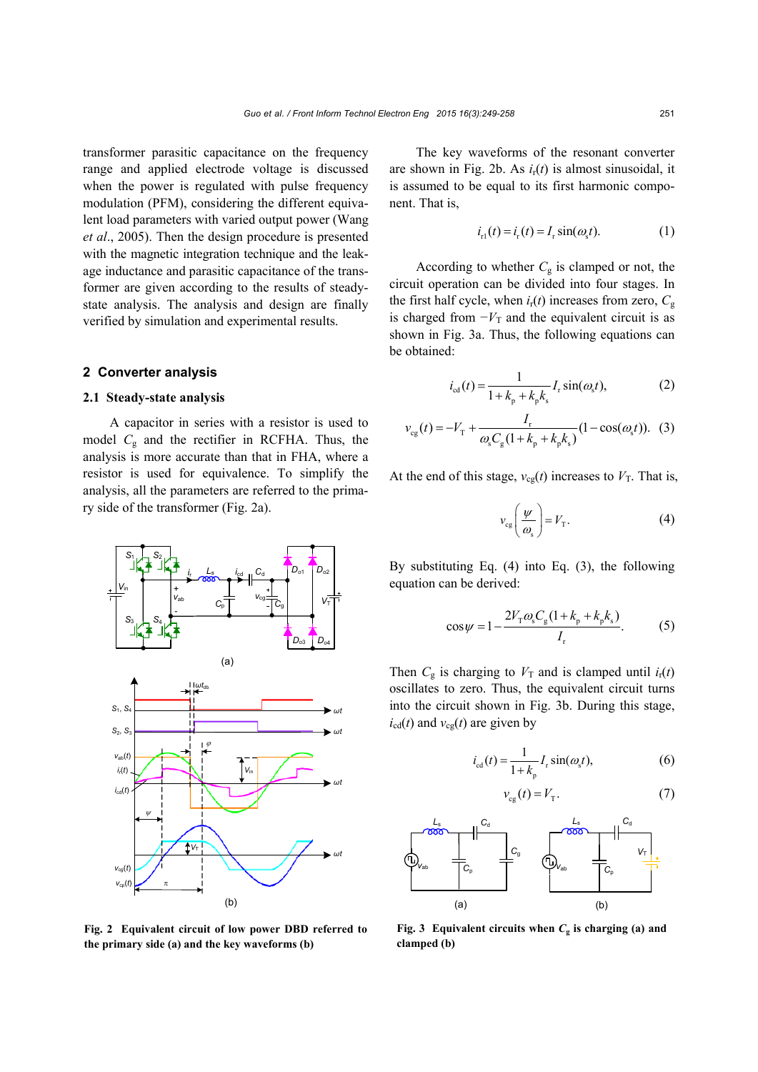transformer parasitic capacitance on the frequency range and applied electrode voltage is discussed when the power is regulated with pulse frequency modulation (PFM), considering the different equivalent load parameters with varied output power (Wang *et al*., 2005). Then the design procedure is presented with the magnetic integration technique and the leakage inductance and parasitic capacitance of the transformer are given according to the results of steadystate analysis. The analysis and design are finally verified by simulation and experimental results.

#### **2 Converter analysis**

### **2.1 Steady-state analysis**

A capacitor in series with a resistor is used to model  $C_g$  and the rectifier in RCFHA. Thus, the analysis is more accurate than that in FHA, where a resistor is used for equivalence. To simplify the analysis, all the parameters are referred to the primary side of the transformer (Fig. 2a).



**Fig. 2 Equivalent circuit of low power DBD referred to the primary side (a) and the key waveforms (b)**

The key waveforms of the resonant converter are shown in Fig. 2b. As *i*r(*t*) is almost sinusoidal, it is assumed to be equal to its first harmonic component. That is,

$$
i_{r1}(t) = i_{r}(t) = I_{r} \sin(\omega_{s} t). \tag{1}
$$

According to whether  $C_g$  is clamped or not, the circuit operation can be divided into four stages. In the first half cycle, when  $i_{r}(t)$  increases from zero,  $C_{g}$ is charged from  $-V_T$  and the equivalent circuit is as shown in Fig. 3a. Thus, the following equations can be obtained:

$$
i_{\text{cd}}(t) = \frac{1}{1 + k_{\text{p}} + k_{\text{p}}k_{\text{s}}} I_{\text{r}} \sin(\omega_{\text{s}}t),
$$
 (2)

$$
v_{cg}(t) = -V_{T} + \frac{I_{r}}{\omega_{s}C_{g}(1 + k_{p} + k_{p}k_{s})}(1 - \cos(\omega_{s}t)).
$$
 (3)

At the end of this stage,  $v_{cg}(t)$  increases to  $V_T$ . That is,

$$
v_{cg}\left(\frac{\psi}{\omega_s}\right) = V_T. \tag{4}
$$

By substituting Eq. (4) into Eq. (3), the following equation can be derived:

$$
\cos\psi = 1 - \frac{2V_{\rm T}\omega_{\rm s}C_{\rm g}(1 + k_{\rm p} + k_{\rm p}k_{\rm s})}{I_{\rm r}}.\tag{5}
$$

Then  $C_g$  is charging to  $V_T$  and is clamped until  $i_r(t)$ oscillates to zero. Thus, the equivalent circuit turns into the circuit shown in Fig. 3b. During this stage,  $i_{\text{cd}}(t)$  and  $v_{\text{cg}}(t)$  are given by

$$
i_{\text{cd}}(t) = \frac{1}{1 + k_{\text{p}}} I_{\text{r}} \sin(\omega_{\text{s}} t),\tag{6}
$$

$$
v_{cg}(t) = V_T. \tag{7}
$$



**Fig. 3** Equivalent circuits when  $C_g$  is charging (a) and **clamped (b)**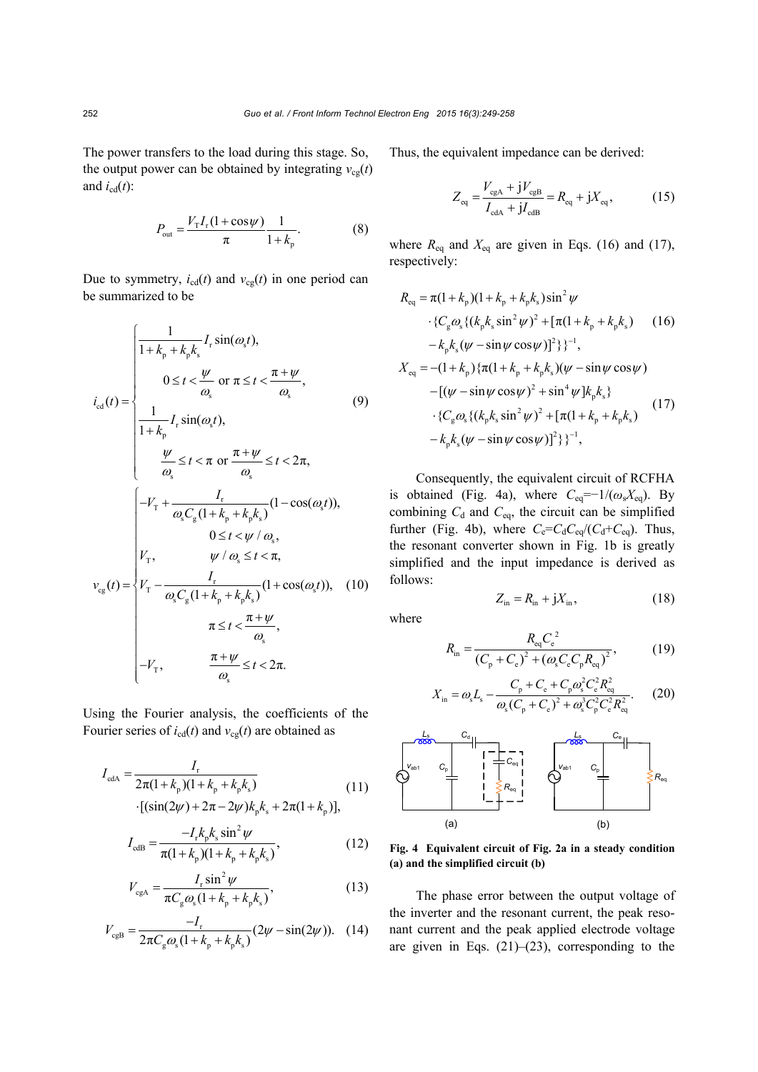The power transfers to the load during this stage. So, the output power can be obtained by integrating  $v_{cg}(t)$ and  $i_{\text{cd}}(t)$ :

$$
P_{\text{out}} = \frac{V_{\text{T}}I_{\text{r}}(1 + \cos \psi)}{\pi} \frac{1}{1 + k_{\text{p}}}.
$$
 (8)

Due to symmetry,  $i_{cd}(t)$  and  $v_{cg}(t)$  in one period can be summarized to be

$$
i_{cd}(t) = \begin{cases}\n\frac{1}{1 + k_{p} + k_{p}k_{s}} I_{r} \sin(\omega_{s}t),\n0 \leq t < \frac{\psi}{\omega_{s}} \text{ or } \pi \leq t < \frac{\pi + \psi}{\omega_{s}},\n1 + k_{p} I_{r} \sin(\omega_{s}t),\n\frac{\psi}{\omega_{s}} \leq t < \pi \text{ or } \frac{\pi + \psi}{\omega_{s}} \leq t < 2\pi,\n\frac{1}{\omega_{s}} \left[-V_{T} + \frac{I_{r}}{\omega_{s}C_{g}(1 + k_{p} + k_{p}k_{s})}(1 - \cos(\omega_{s}t)),\right] \\ 0 \leq t < \psi / \omega_{s},\nV_{cg}(t) = \begin{cases}\nV_{T}, & \psi / \omega_{s} \leq t < \pi,\n\frac{I_{r}}{\omega_{s}C_{g}(1 + k_{p} + k_{p}k_{s})}(1 + \cos(\omega_{s}t)), & (10)\\
\pi \leq t < \frac{\pi + \psi}{\omega_{s}},\\
-\frac{\pi + \psi}{\omega_{s}} \leq t < 2\pi.\n\end{cases}
$$

Using the Fourier analysis, the coefficients of the Fourier series of  $i_{cd}(t)$  and  $v_{cg}(t)$  are obtained as

$$
I_{\text{cdA}} = \frac{I_{\text{r}}}{2\pi(1+k_{\text{p}})(1+k_{\text{p}}+k_{\text{p}}k_{\text{s}})}
$$
(11)  
-( $(\sin(2\psi) + 2\pi - 2\psi)k_{\text{p}}k_{\text{s}} + 2\pi(1+k_{\text{p}})$ ],

$$
I_{\text{cdB}} = \frac{-I_{\text{r}}k_{\text{p}}k_{\text{s}}\sin^2\psi}{\pi(1+k_{\text{p}})(1+k_{\text{p}}+k_{\text{p}}k_{\text{s}})},
$$
(12)

$$
V_{\rm cgA} = \frac{I_{\rm r} \sin^2 \psi}{\pi C_{\rm g} \omega_{\rm s} (1 + k_{\rm p} + k_{\rm p} k_{\rm s})},\tag{13}
$$

$$
V_{\rm cgh} = \frac{-I_{\rm r}}{2\pi C_{\rm g}\omega_{\rm s}(1+k_{\rm p}+k_{\rm p}k_{\rm s})}(2\psi - \sin(2\psi)). \quad (14)
$$

Thus, the equivalent impedance can be derived:

$$
Z_{\text{eq}} = \frac{V_{\text{cgA}} + jV_{\text{cgB}}}{I_{\text{cdA}} + jI_{\text{cdB}}} = R_{\text{eq}} + jX_{\text{eq}},\tag{15}
$$

where  $R_{eq}$  and  $X_{eq}$  are given in Eqs. (16) and (17), respectively:

$$
R_{eq} = \pi (1 + k_p)(1 + k_p + k_p k_s) \sin^2 \psi
$$
  
\n
$$
\cdot \{C_g \omega_s \{(k_p k_s \sin^2 \psi)^2 + [\pi (1 + k_p + k_p k_s) \quad (16) -k_p k_s (\psi - \sin \psi \cos \psi)]^2\} \}^{-1},
$$
  
\n
$$
X_{eq} = -(1 + k_p) \{ \pi (1 + k_p + k_p k_s) (\psi - \sin \psi \cos \psi) - [(\psi - \sin \psi \cos \psi)^2 + \sin^4 \psi] k_p k_s \} - \{C_g \omega_s \{(k_p k_s \sin^2 \psi)^2 + [\pi (1 + k_p + k_p k_s) \quad (17) -k_p k_s (\psi - \sin \psi \cos \psi)]^2 \}^{-1},
$$

Consequently, the equivalent circuit of RCFHA is obtained (Fig. 4a), where  $C_{eq}=-1/(\omega_s X_{eq})$ . By combining  $C_d$  and  $C_{eq}$ , the circuit can be simplified further (Fig. 4b), where  $C_e = C_d C_{eq}/(C_d + C_{eq})$ . Thus, the resonant converter shown in Fig. 1b is greatly simplified and the input impedance is derived as follows:

$$
Z_{\text{in}} = R_{\text{in}} + jX_{\text{in}},\tag{18}
$$

where

$$
R_{\rm in} = \frac{R_{\rm eq} C_{\rm e}^2}{(C_{\rm p} + C_{\rm e})^2 + (\omega_{\rm s} C_{\rm e} C_{\rm p} R_{\rm eq})^2},\tag{19}
$$

$$
X_{\rm in} = \omega_{\rm s} L_{\rm s} - \frac{C_{\rm p} + C_{\rm e} + C_{\rm p} \omega_{\rm s}^2 C_{\rm e}^2 R_{\rm eq}^2}{\omega_{\rm s} (C_{\rm p} + C_{\rm e})^2 + \omega_{\rm s}^3 C_{\rm p}^2 C_{\rm e}^2 R_{\rm eq}^2}.
$$
 (20)



**Fig. 4 Equivalent circuit of Fig. 2a in a steady condition (a) and the simplified circuit (b)**

The phase error between the output voltage of the inverter and the resonant current, the peak resonant current and the peak applied electrode voltage are given in Eqs.  $(21)$ – $(23)$ , corresponding to the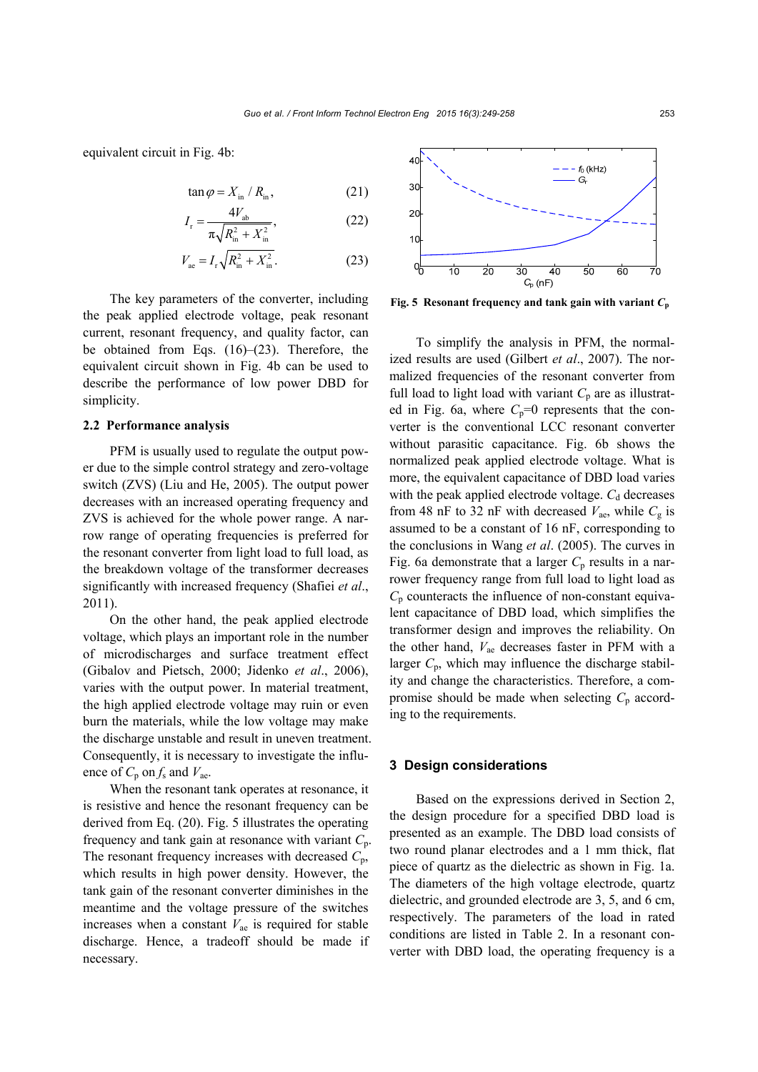equivalent circuit in Fig. 4b:

$$
\tan \varphi = X_{\text{in}} / R_{\text{in}}, \tag{21}
$$

$$
I_{\rm r} = \frac{4V_{\rm ab}}{\pi \sqrt{R_{\rm in}^2 + X_{\rm in}^2}},\tag{22}
$$

$$
V_{\text{ae}} = I_{\text{r}} \sqrt{R_{\text{in}}^2 + X_{\text{in}}^2}.
$$
 (23)

The key parameters of the converter, including the peak applied electrode voltage, peak resonant current, resonant frequency, and quality factor, can be obtained from Eqs. (16)–(23). Therefore, the equivalent circuit shown in Fig. 4b can be used to describe the performance of low power DBD for simplicity.

### **2.2 Performance analysis**

PFM is usually used to regulate the output power due to the simple control strategy and zero-voltage switch (ZVS) (Liu and He, 2005). The output power decreases with an increased operating frequency and ZVS is achieved for the whole power range. A narrow range of operating frequencies is preferred for the resonant converter from light load to full load, as the breakdown voltage of the transformer decreases significantly with increased frequency (Shafiei *et al*., 2011).

On the other hand, the peak applied electrode voltage, which plays an important role in the number of microdischarges and surface treatment effect (Gibalov and Pietsch, 2000; Jidenko *et al*., 2006), varies with the output power. In material treatment, the high applied electrode voltage may ruin or even burn the materials, while the low voltage may make the discharge unstable and result in uneven treatment. Consequently, it is necessary to investigate the influence of  $C_p$  on  $f_s$  and  $V_{ae}$ .

When the resonant tank operates at resonance, it is resistive and hence the resonant frequency can be derived from Eq. (20). Fig. 5 illustrates the operating frequency and tank gain at resonance with variant *C*p. The resonant frequency increases with decreased *C*p, which results in high power density. However, the tank gain of the resonant converter diminishes in the meantime and the voltage pressure of the switches increases when a constant  $V_{\text{ae}}$  is required for stable discharge. Hence, a tradeoff should be made if necessary.



**Fig. 5 Resonant frequency and tank gain with variant**  $C_p$ 

To simplify the analysis in PFM, the normalized results are used (Gilbert *et al*., 2007). The normalized frequencies of the resonant converter from full load to light load with variant  $C_p$  are as illustrated in Fig. 6a, where  $C_p=0$  represents that the converter is the conventional LCC resonant converter without parasitic capacitance. Fig. 6b shows the normalized peak applied electrode voltage. What is more, the equivalent capacitance of DBD load varies with the peak applied electrode voltage.  $C_d$  decreases from 48 nF to 32 nF with decreased  $V_{\text{ae}}$ , while  $C_{\text{g}}$  is assumed to be a constant of 16 nF, corresponding to the conclusions in Wang *et al*. (2005). The curves in Fig. 6a demonstrate that a larger  $C_p$  results in a narrower frequency range from full load to light load as  $C_p$  counteracts the influence of non-constant equivalent capacitance of DBD load, which simplifies the transformer design and improves the reliability. On the other hand, *V*ae decreases faster in PFM with a larger  $C_p$ , which may influence the discharge stability and change the characteristics. Therefore, a compromise should be made when selecting  $C_p$  according to the requirements.

### **3 Design considerations**

Based on the expressions derived in Section 2, the design procedure for a specified DBD load is presented as an example. The DBD load consists of two round planar electrodes and a 1 mm thick, flat piece of quartz as the dielectric as shown in Fig. 1a. The diameters of the high voltage electrode, quartz dielectric, and grounded electrode are 3, 5, and 6 cm, respectively. The parameters of the load in rated conditions are listed in Table 2. In a resonant converter with DBD load, the operating frequency is a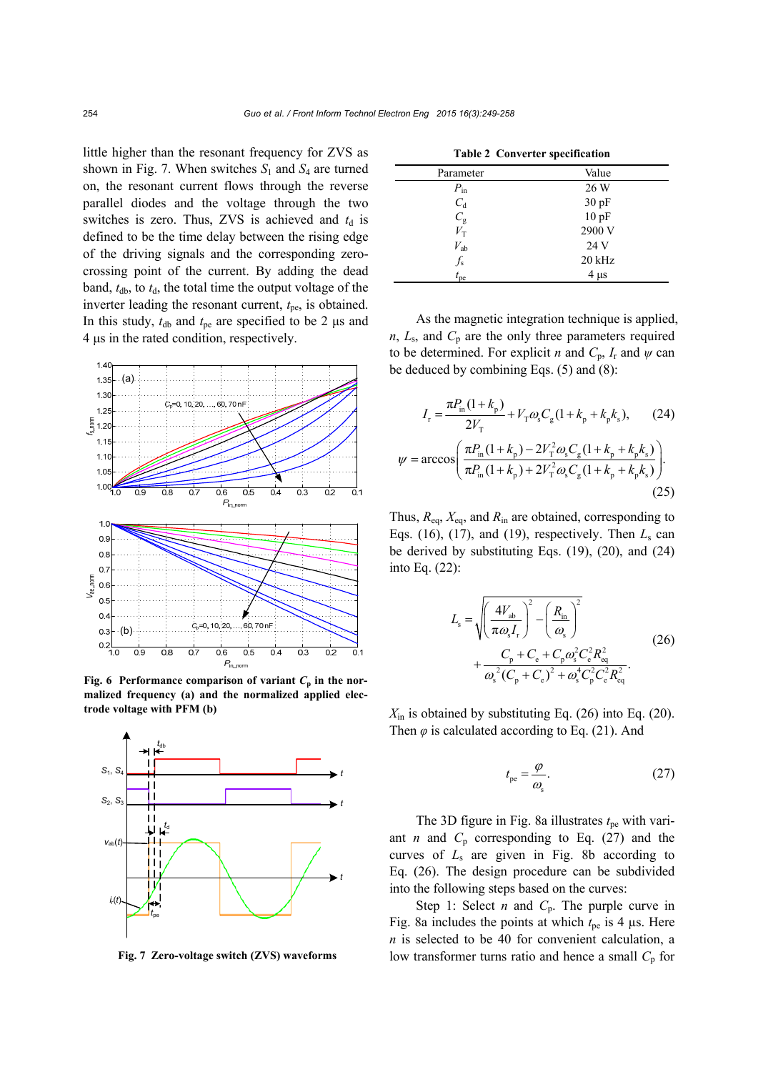little higher than the resonant frequency for ZVS as shown in Fig. 7. When switches  $S_1$  and  $S_4$  are turned on, the resonant current flows through the reverse parallel diodes and the voltage through the two switches is zero. Thus, ZVS is achieved and  $t_d$  is defined to be the time delay between the rising edge of the driving signals and the corresponding zerocrossing point of the current. By adding the dead band,  $t_{db}$ , to  $t_{d}$ , the total time the output voltage of the inverter leading the resonant current,  $t_{pe}$ , is obtained. In this study,  $t_{db}$  and  $t_{pe}$  are specified to be 2  $\mu$ s and 4 μs in the rated condition, respectively.



**Fig. 6 Performance comparison of variant**  $C_p$  **in the normalized frequency (a) and the normalized applied electrode voltage with PFM (b)**



**Fig. 7 Zero-voltage switch (ZVS) waveforms**

| <b>TADIC 4 CONVELTER SPECIFICATION</b> |           |  |  |  |  |
|----------------------------------------|-----------|--|--|--|--|
| Parameter                              | Value     |  |  |  |  |
| $P_{\text{in}}$                        | 26 W      |  |  |  |  |
| $C_{d}$                                | 30pF      |  |  |  |  |
| $C_{\rm g}$                            | 10pF      |  |  |  |  |
| $V_{\rm T}$                            | 2900 V    |  |  |  |  |
| $V_{ab}$                               | 24 V      |  |  |  |  |
| $f_{\rm s}$                            | $20$ kHz  |  |  |  |  |
| $t_{\rm pe}$                           | $4 \mu s$ |  |  |  |  |

**Table 2 Converter specification** 

As the magnetic integration technique is applied,  $n$ ,  $L_s$ , and  $C_p$  are the only three parameters required to be determined. For explicit *n* and  $C_p$ ,  $I_r$  and  $\psi$  can be deduced by combining Eqs. (5) and (8):

$$
I_{\rm r} = \frac{\pi P_{\rm in}(1 + k_{\rm p})}{2V_{\rm T}} + V_{\rm T}\omega_{\rm s}C_{\rm g}(1 + k_{\rm p} + k_{\rm p}k_{\rm s}),\qquad(24)
$$

$$
\psi = \arccos\left(\frac{\pi P_{\rm in}(1 + k_{\rm p}) - 2V_{\rm T}^2\omega_{\rm s}C_{\rm g}(1 + k_{\rm p} + k_{\rm p}k_{\rm s})}{\pi P_{\rm in}(1 + k_{\rm p}) + 2V_{\rm T}^2\omega_{\rm s}C_{\rm g}(1 + k_{\rm p} + k_{\rm p}k_{\rm s})}\right).
$$
(25)

Thus, *R*eq, *X*eq, and *R*in are obtained, corresponding to Eqs. (16), (17), and (19), respectively. Then  $L_s$  can be derived by substituting Eqs. (19), (20), and (24) into Eq. (22):

$$
L_{\rm s} = \sqrt{\left(\frac{4V_{\rm ab}}{\pi\omega_{\rm s}I_{\rm r}}\right)^2 - \left(\frac{R_{\rm in}}{\omega_{\rm s}}\right)^2} + \frac{C_{\rm p} + C_{\rm e} + C_{\rm p}\omega_{\rm s}^2 C_{\rm e}^2 R_{\rm eq}^2}{\omega_{\rm s}^2 (C_{\rm p} + C_{\rm e})^2 + \omega_{\rm s}^4 C_{\rm p}^2 C_{\rm e}^2 R_{\rm eq}^2}.
$$
 (26)

 $X_{\text{in}}$  is obtained by substituting Eq. (26) into Eq. (20). Then  $\varphi$  is calculated according to Eq. (21). And

$$
t_{\rm pe} = \frac{\varphi}{\omega_{\rm s}}.\tag{27}
$$

The 3D figure in Fig. 8a illustrates  $t_{\rm pe}$  with variant *n* and  $C_p$  corresponding to Eq. (27) and the curves of *L*s are given in Fig. 8b according to Eq. (26). The design procedure can be subdivided into the following steps based on the curves:

Step 1: Select *n* and  $C_p$ . The purple curve in Fig. 8a includes the points at which  $t_{pe}$  is 4 µs. Here *n* is selected to be 40 for convenient calculation, a low transformer turns ratio and hence a small  $C_p$  for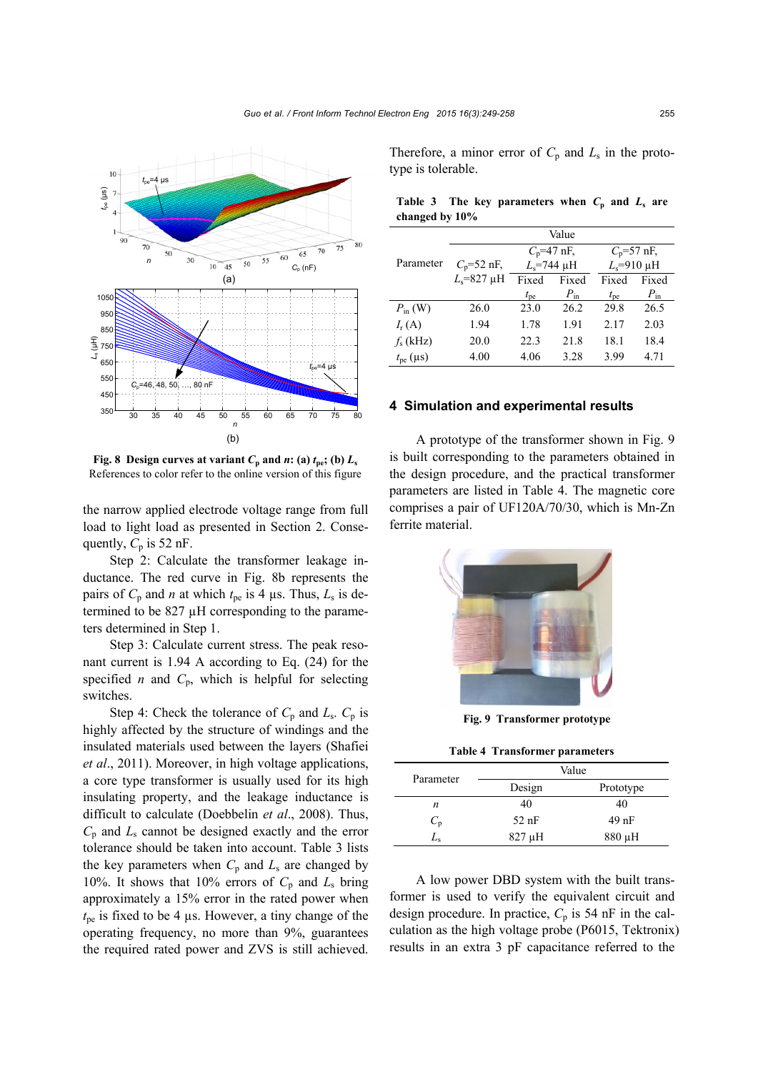

**Fig. 8 Design curves at variant**  $C_p$  **and**  $n$ **: (a)**  $t_{pe}$ **; (b)**  $L_s$ References to color refer to the online version of this figure

the narrow applied electrode voltage range from full load to light load as presented in Section 2. Consequently,  $C_p$  is 52 nF.

Step 2: Calculate the transformer leakage inductance. The red curve in Fig. 8b represents the pairs of  $C_p$  and *n* at which  $t_{pe}$  is 4 µs. Thus,  $L_s$  is determined to be 827 µH corresponding to the parameters determined in Step 1.

Step 3: Calculate current stress. The peak resonant current is 1.94 A according to Eq. (24) for the specified *n* and  $C_p$ , which is helpful for selecting switches.

Step 4: Check the tolerance of  $C_p$  and  $L_s$ .  $C_p$  is highly affected by the structure of windings and the insulated materials used between the layers (Shafiei *et al*., 2011). Moreover, in high voltage applications, a core type transformer is usually used for its high insulating property, and the leakage inductance is difficult to calculate (Doebbelin *et al*., 2008). Thus,  $C_p$  and  $L_s$  cannot be designed exactly and the error tolerance should be taken into account. Table 3 lists the key parameters when  $C_p$  and  $L_s$  are changed by 10%. It shows that 10% errors of  $C_p$  and  $L_s$  bring approximately a 15% error in the rated power when  $t_{\text{ne}}$  is fixed to be 4  $\mu$ s. However, a tiny change of the operating frequency, no more than 9%, guarantees the required rated power and ZVS is still achieved.

Therefore, a minor error of  $C_p$  and  $L_s$  in the prototype is tolerable.

|                   |  |  |  | Table 3 The key parameters when $C_p$ and $L_s$ are |  |  |  |  |
|-------------------|--|--|--|-----------------------------------------------------|--|--|--|--|
| changed by $10\%$ |  |  |  |                                                     |  |  |  |  |
| Value             |  |  |  |                                                     |  |  |  |  |

|                     |                   |               | value           |                |                 |  |
|---------------------|-------------------|---------------|-----------------|----------------|-----------------|--|
|                     |                   |               | $C_p$ =47 nF,   | $C_p = 57$ nF, |                 |  |
| Parameter           | $C_p = 52$ nF,    | $L_s$ =744 µH |                 | $L_s$ =910 µH  |                 |  |
|                     | $L_s = 827 \mu H$ | Fixed         | Fixed           | Fixed          | Fixed           |  |
|                     |                   | $t_{\rm pe}$  | $P_{\text{in}}$ | $t_{\rm pe}$   | $P_{\text{in}}$ |  |
| $P_{\text{in}}$ (W) | 26.0              | 23.0          | 26.2            | 29.8           | 26.5            |  |
| $I_{r}(A)$          | 1.94              | 1.78          | 1.91            | 2.17           | 2.03            |  |
| $f_s$ (kHz)         | 20.0              | 22.3          | 21.8            | 18.1           | 18.4            |  |
| $t_{\rm pe}$ (µs)   | 4.00              | 4.06          | 3.28            | 3.99           | 4.71            |  |

#### **4 Simulation and experimental results**

A prototype of the transformer shown in Fig. 9 is built corresponding to the parameters obtained in the design procedure, and the practical transformer parameters are listed in Table 4. The magnetic core comprises a pair of UF120A/70/30, which is Mn-Zn ferrite material.



**Fig. 9 Transformer prototype**

**Table 4 Transformer parameters** 

| Parameter |             | Value     |
|-----------|-------------|-----------|
|           | Design      | Prototype |
| n         | 40          | 40        |
| $C_{p}$   | $52$ nF     | $49$ nF   |
| Le        | $827 \mu H$ | 880 µH    |

A low power DBD system with the built transformer is used to verify the equivalent circuit and design procedure. In practice,  $C_p$  is 54 nF in the calculation as the high voltage probe (P6015, Tektronix) results in an extra 3 pF capacitance referred to the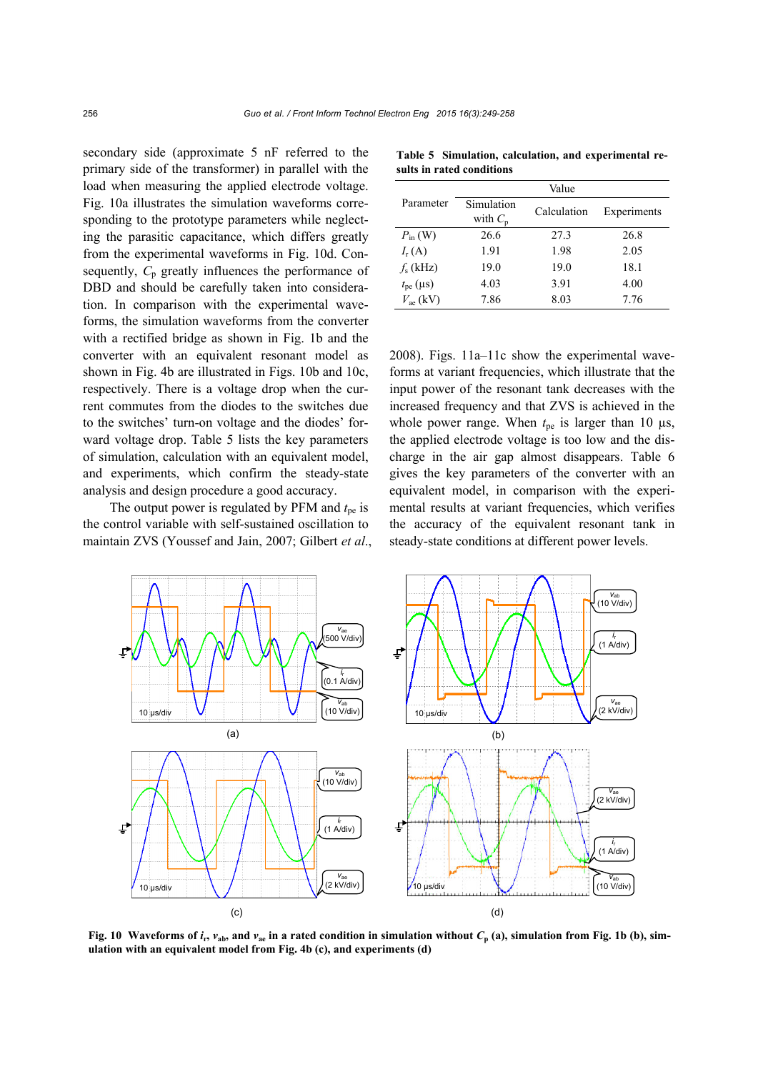secondary side (approximate 5 nF referred to the primary side of the transformer) in parallel with the load when measuring the applied electrode voltage. Fig. 10a illustrates the simulation waveforms corresponding to the prototype parameters while neglecting the parasitic capacitance, which differs greatly from the experimental waveforms in Fig. 10d. Consequently,  $C_p$  greatly influences the performance of DBD and should be carefully taken into consideration. In comparison with the experimental waveforms, the simulation waveforms from the converter with a rectified bridge as shown in Fig. 1b and the converter with an equivalent resonant model as shown in Fig. 4b are illustrated in Figs. 10b and 10c, respectively. There is a voltage drop when the current commutes from the diodes to the switches due to the switches' turn-on voltage and the diodes' forward voltage drop. Table 5 lists the key parameters of simulation, calculation with an equivalent model, and experiments, which confirm the steady-state analysis and design procedure a good accuracy.

The output power is regulated by PFM and  $t_{pe}$  is the control variable with self-sustained oscillation to maintain ZVS (Youssef and Jain, 2007; Gilbert *et al*.,

|                            |                          | Value       |             |
|----------------------------|--------------------------|-------------|-------------|
| Parameter                  | Simulation<br>with $C_n$ | Calculation | Experiments |
| $P_{\text{in}}$ (W)        | 26.6                     | 27.3        | 26.8        |
| $I_{r}(A)$                 | 1.91                     | 1.98        | 2.05        |
| $fs$ (kHz)                 | 19.0                     | 19.0        | 18.1        |
| $t_{\rm pe}$ (µs)          | 4.03                     | 3.91        | 4.00        |
| $V_{\text{ae}}(\text{kV})$ | 7.86                     | 8.03        | 7.76        |

**Table 5 Simulation, calculation, and experimental results in rated conditions** 

2008). Figs. 11a–11c show the experimental waveforms at variant frequencies, which illustrate that the input power of the resonant tank decreases with the increased frequency and that ZVS is achieved in the whole power range. When  $t_{pe}$  is larger than 10  $\mu$ s, the applied electrode voltage is too low and the discharge in the air gap almost disappears. Table 6 gives the key parameters of the converter with an equivalent model, in comparison with the experimental results at variant frequencies, which verifies the accuracy of the equivalent resonant tank in steady-state conditions at different power levels.



**Fig. 10** Waveforms of  $i_r$ ,  $v_{ab}$ , and  $v_{ac}$  in a rated condition in simulation without  $C_p$  (a), simulation from Fig. 1b (b), sim**ulation with an equivalent model from Fig. 4b (c), and experiments (d)**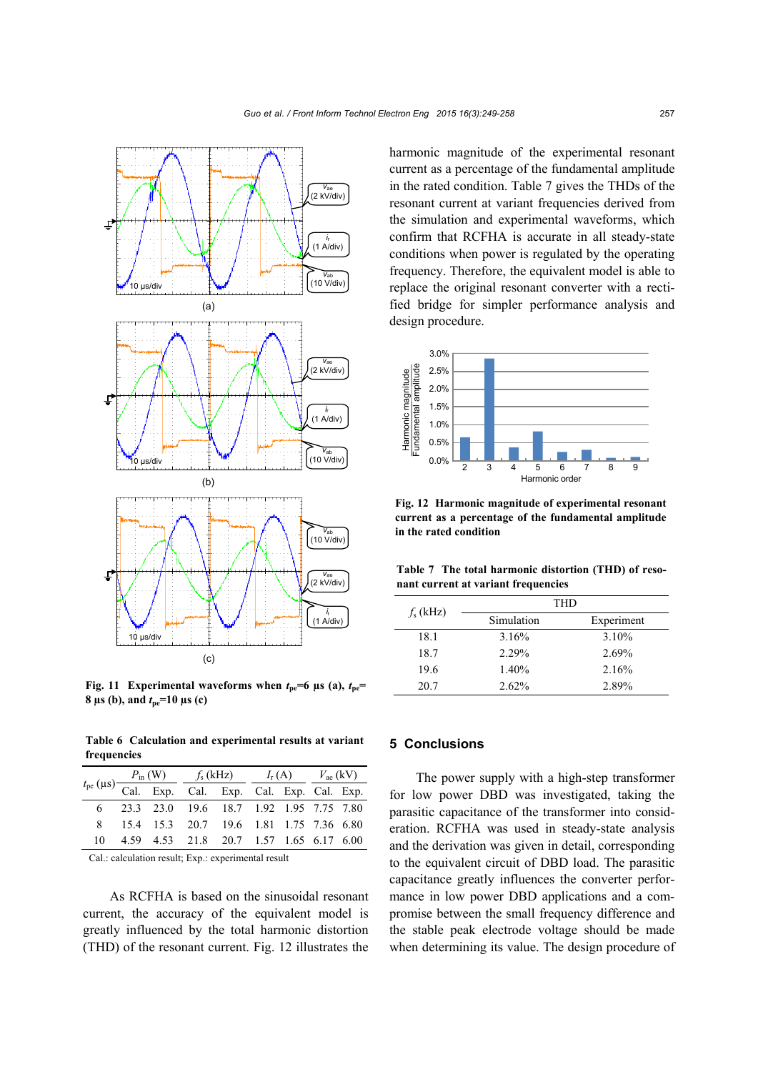

**Fig. 11 Experimental waveforms when**  $t_{ne}=6$  **µs (a),**  $t_{ne}=$ **8**  $\mu$ **s** (b), and  $t_{\text{ne}} = 10 \mu$ **s** (c)

**Table 6 Calculation and experimental results at variant frequencies** 

|  |  | $t_{\text{pe}}(\mu s) \frac{P_{\text{in}}(W)}{\text{Cal. Exp.}}$ $\frac{f_s(kHz)}{\text{Cal. Exp.}}$ $\frac{I_r(A)}{\text{Cal. Exp.}}$ $\frac{V_{\text{ae}}(kV)}{\text{Cal. Exp.}}$ |  |  |  |  |  |
|--|--|-------------------------------------------------------------------------------------------------------------------------------------------------------------------------------------|--|--|--|--|--|
|  |  |                                                                                                                                                                                     |  |  |  |  |  |
|  |  | 6 23.3 23.0 19.6 18.7 1.92 1.95 7.75 7.80                                                                                                                                           |  |  |  |  |  |
|  |  | 8 15.4 15.3 20.7 19.6 1.81 1.75 7.36 6.80                                                                                                                                           |  |  |  |  |  |
|  |  | 10 4.59 4.53 21.8 20.7 1.57 1.65 6.17 6.00                                                                                                                                          |  |  |  |  |  |

Cal.: calculation result; Exp.: experimental result

As RCFHA is based on the sinusoidal resonant current, the accuracy of the equivalent model is greatly influenced by the total harmonic distortion (THD) of the resonant current. Fig. 12 illustrates the harmonic magnitude of the experimental resonant current as a percentage of the fundamental amplitude in the rated condition. Table 7 gives the THDs of the resonant current at variant frequencies derived from the simulation and experimental waveforms, which confirm that RCFHA is accurate in all steady-state conditions when power is regulated by the operating frequency. Therefore, the equivalent model is able to replace the original resonant converter with a rectified bridge for simpler performance analysis and design procedure.



**Fig. 12 Harmonic magnitude of experimental resonant current as a percentage of the fundamental amplitude in the rated condition**

**Table 7 The total harmonic distortion (THD) of resonant current at variant frequencies** 

| $f_s$ (kHz) | THD        |            |
|-------------|------------|------------|
|             | Simulation | Experiment |
| 18.1        | 3.16%      | 3.10%      |
| 18.7        | $2.29\%$   | 2.69%      |
| 19.6        | 1.40%      | 2.16%      |
| 20.7        | 2.62%      | 2.89%      |

### **5 Conclusions**

The power supply with a high-step transformer for low power DBD was investigated, taking the parasitic capacitance of the transformer into consideration. RCFHA was used in steady-state analysis and the derivation was given in detail, corresponding to the equivalent circuit of DBD load. The parasitic capacitance greatly influences the converter performance in low power DBD applications and a compromise between the small frequency difference and the stable peak electrode voltage should be made when determining its value. The design procedure of